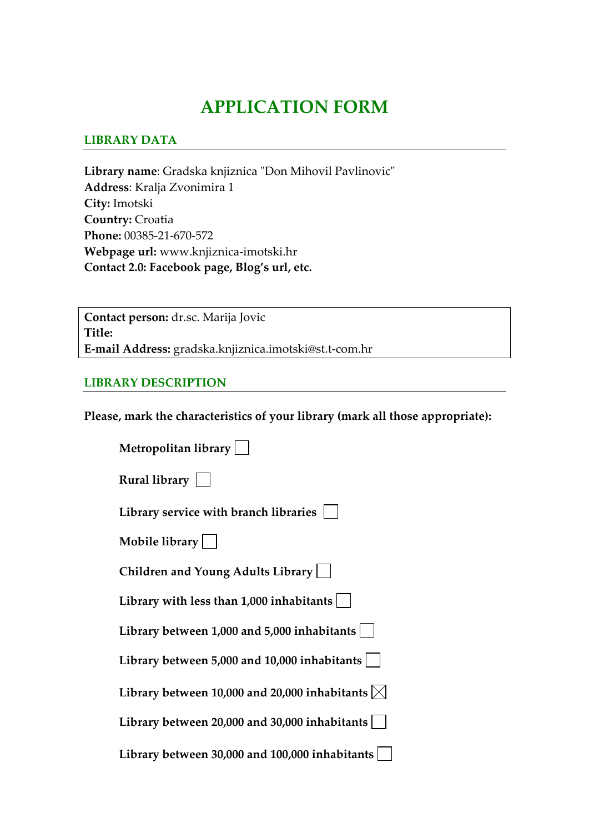# **APPLICATION FORM**

#### **LIBRARY DATA**

Library name: Gradska knjiznica "Don Mihovil Pavlinovic" **Address**: Kralja Zvonimira 1 **City:** Imotski **Country:** Croatia **Phone:** 00385‐21‐670‐572 **Webpage url:** www.knjiznica‐imotski.hr **Contact 2.0: Facebook page, Blog's url, etc.**

**Contact person:** dr.sc. Marija Jovic **Title: E‐mail Address:** gradska.knjiznica.imotski@st.t‐com.hr

#### **LIBRARY DESCRIPTION**

**Please, mark the characteristics of your library (mark all those appropriate):**

| Metropolitan library                                          |
|---------------------------------------------------------------|
| Rural library $\vert \ \ \vert$                               |
| Library service with branch libraries                         |
| Mobile library $  \quad  $                                    |
| Children and Young Adults Library                             |
| Library with less than $1,000$ inhabitants $ $                |
| Library between 1,000 and 5,000 inhabitants $ $               |
| Library between 5,000 and 10,000 inhabitants                  |
| Library between 10,000 and 20,000 inhabitants $ \!\!\times\!$ |
| Library between 20,000 and 30,000 inhabitants $ $             |
| Library between 30,000 and 100,000 inhabitants                |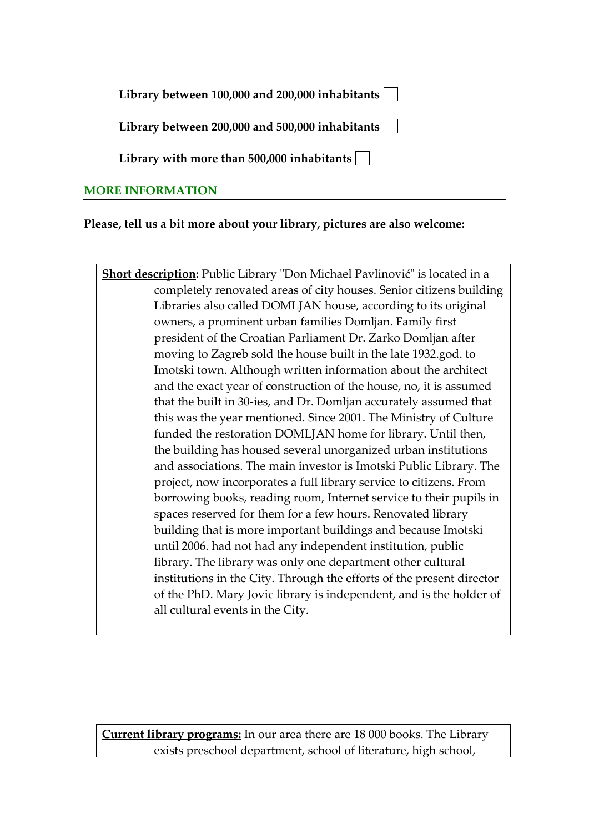| Library between 100,000 and 200,000 inhabitants $\lfloor$ |  |  |
|-----------------------------------------------------------|--|--|
|-----------------------------------------------------------|--|--|

**Library between 200,000 and 500,000 inhabitants**

**Library with more than 500,000 inhabitants**

### **MORE INFORMATION**

# **Please, tell us a bit more about your library, pictures are also welcome:**

**Short description:** Public Library "Don Michael Pavlinović" is located in a completely renovated areas of city houses. Senior citizens building Libraries also called DOMLJAN house, according to its original owners, a prominent urban families Domljan. Family first president of the Croatian Parliament Dr. Zarko Domljan after moving to Zagreb sold the house built in the late 1932.god. to Imotski town. Although written information about the architect and the exact year of construction of the house, no, it is assumed that the built in 30‐ies, and Dr. Domljan accurately assumed that this was the year mentioned. Since 2001. The Ministry of Culture funded the restoration DOMLJAN home for library. Until then, the building has housed several unorganized urban institutions and associations. The main investor is Imotski Public Library. The project, now incorporates a full library service to citizens. From borrowing books, reading room, Internet service to their pupils in spaces reserved for them for a few hours. Renovated library building that is more important buildings and because Imotski until 2006. had not had any independent institution, public library. The library was only one department other cultural institutions in the City. Through the efforts of the present director of the PhD. Mary Jovic library is independent, and is the holder of all cultural events in the City.

**Current library programs:** In our area there are 18 000 books. The Library exists preschool department, school of literature, high school,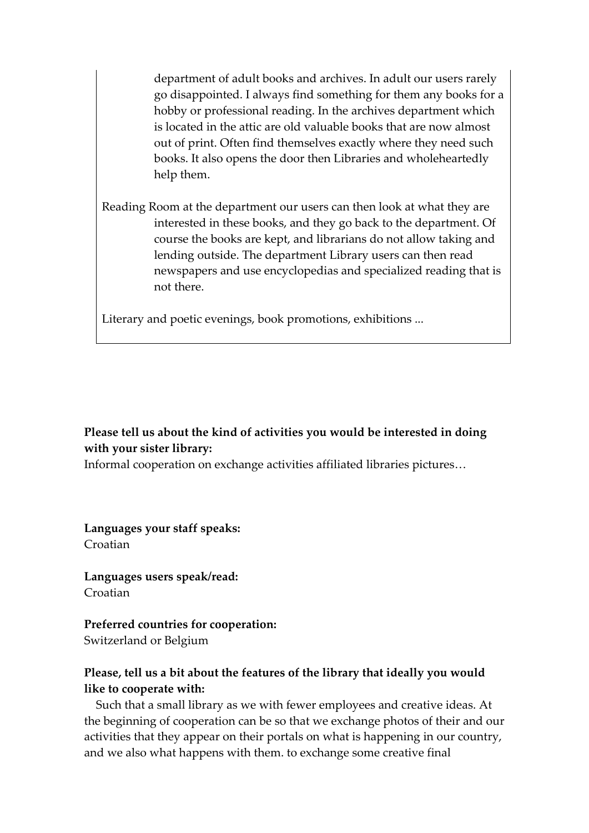department of adult books and archives. In adult our users rarely go disappointed. I always find something for them any books for a hobby or professional reading. In the archives department which is located in the attic are old valuable books that are now almost out of print. Often find themselves exactly where they need such books. It also opens the door then Libraries and wholeheartedly help them.

Reading Room at the department our users can then look at what they are interested in these books, and they go back to the department. Of course the books are kept, and librarians do not allow taking and lending outside. The department Library users can then read newspapers and use encyclopedias and specialized reading that is not there.

Literary and poetic evenings, book promotions, exhibitions ...

#### **Please tell us about the kind of activities you would be interested in doing with your sister library:**

Informal cooperation on exchange activities affiliated libraries pictures…

**Languages your staff speaks:** Croatian

**Languages users speak/read:** Croatian

#### **Preferred countries for cooperation:**

Switzerland or Belgium

# **Please, tell us a bit about the features of the library that ideally you would like to cooperate with:**

 Such that a small library as we with fewer employees and creative ideas. At the beginning of cooperation can be so that we exchange photos of their and our activities that they appear on their portals on what is happening in our country, and we also what happens with them. to exchange some creative final